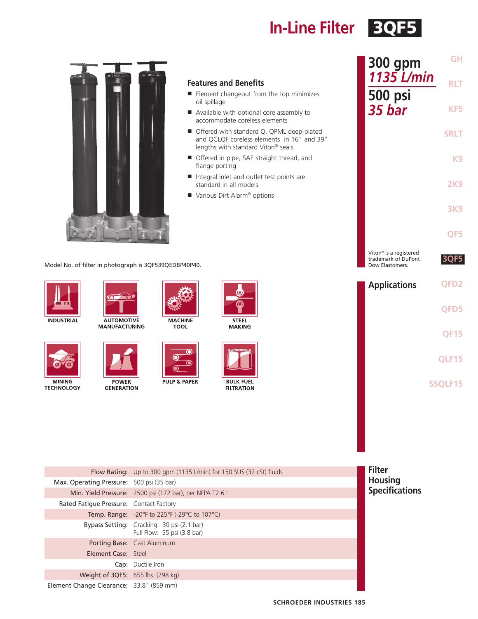**In-Line Filter** 3QF5



### **Features and Benefits**

- Element changeout from the top minimizes oil spillage
- Available with optional core assembly to accommodate coreless elements
- Offered with standard Q, QPML deep-plated and QCLQF coreless elements in 16" and 39" lengths with standard Viton® seals
- Offered in pipe, SAE straight thread, and flange porting
- Integral inlet and outlet test points are standard in all models
- Various Dirt Alarm<sup>®</sup> options

Model No. of filter in photograph is 3QF539QEDBP40P40.









**POWER GENERATION** 



TC  $\bullet$ **70** O)

**PULP & PAPER** 

**STEEL** 

**MAKING** 



**FILTRATION** 

| 300 gpm<br>1135 L/min                                                        | GH<br><b>RLT</b> |
|------------------------------------------------------------------------------|------------------|
| 500 psi<br>35 bar                                                            | KF5              |
|                                                                              | <b>SRLT</b>      |
|                                                                              | K <sub>9</sub>   |
|                                                                              | 2K9              |
|                                                                              | <b>3K9</b>       |
|                                                                              | QF5              |
| Viton <sup>®</sup> is a registered<br>trademark of DuPont<br>Dow Elastomers. | 3QF5             |
| <b>Applications</b>                                                          | QFD <sub>2</sub> |
|                                                                              | QFD5             |
|                                                                              | <b>QF15</b>      |
|                                                                              | QLF15            |
|                                                                              | <b>SSQLF15</b>   |
|                                                                              |                  |

|                                           | Flow Rating: Up to 300 gpm (1135 L/min) for 150 SUS (32 cSt) fluids       | <b>Filter</b>         |
|-------------------------------------------|---------------------------------------------------------------------------|-----------------------|
| Max. Operating Pressure: 500 psi (35 bar) |                                                                           | <b>Housing</b>        |
|                                           | Min. Yield Pressure: 2500 psi (172 bar), per NFPA T2.6.1                  | <b>Specifications</b> |
| Rated Fatique Pressure: Contact Factory   |                                                                           |                       |
|                                           | <b>Temp. Range:</b> -20°F to 225°F (-29°C to 107°C)                       |                       |
|                                           | Bypass Setting: Cracking: 30 psi (2.1 bar)<br>Full Flow: 55 psi (3.8 bar) |                       |
|                                           | Porting Base: Cast Aluminum                                               |                       |
| <b>Element Case: Steel</b>                |                                                                           |                       |
|                                           | <b>Cap:</b> Ductile Iron                                                  |                       |
| Weight of 3QF5: 655 lbs. (298 kg)         |                                                                           |                       |
| Element Change Clearance: 33.8" (859 mm)  |                                                                           |                       |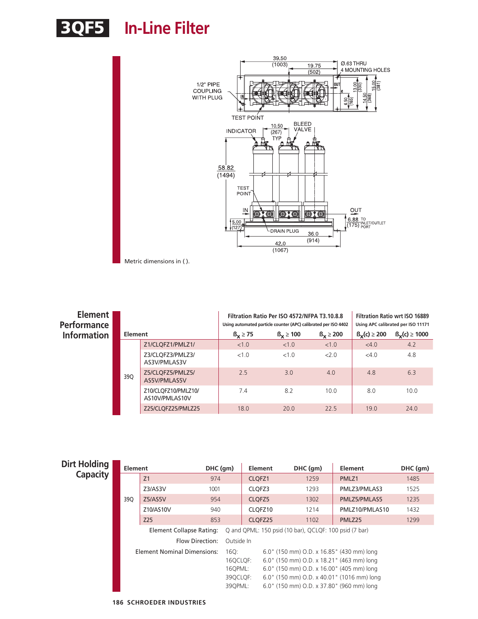



| Element  <br><b>Performance</b><br><b>Information</b><br><b>Element</b> |     |                                       | Filtration Ratio Per ISO 4572/NFPA T3.10.8.8<br>Filtration Ratio wrt ISO 16889<br>Using automated particle counter (APC) calibrated per ISO 4402<br>Using APC calibrated per ISO 11171<br>$\beta_{\mathbf{y}}(c) \geq 200$<br>$\beta_{\rm V}(c) \ge 1000$<br>$\beta_{\rm v} \ge 100$<br>$\beta_{\rm V} \geq 200$<br>$B_v \geq 75$ |      |      |      |      |  |
|-------------------------------------------------------------------------|-----|---------------------------------------|-----------------------------------------------------------------------------------------------------------------------------------------------------------------------------------------------------------------------------------------------------------------------------------------------------------------------------------|------|------|------|------|--|
|                                                                         |     | Z1/CLQFZ1/PMLZ1/                      | < 1.0                                                                                                                                                                                                                                                                                                                             | <1.0 | <1.0 | <4.0 | 4.2  |  |
|                                                                         |     | Z3/CLQFZ3/PMLZ3/<br>AS3V/PMLAS3V      | <1.0                                                                                                                                                                                                                                                                                                                              | <1.0 | 2.0  | <4.0 | 4.8  |  |
|                                                                         | 390 | Z5/CLQFZ5/PMLZ5/<br>AS5V/PMLAS5V      | 2.5                                                                                                                                                                                                                                                                                                                               | 3.0  | 4.0  | 4.8  | 6.3  |  |
|                                                                         |     | Z10/CLQFZ10/PMLZ10/<br>AS10V/PMLAS10V | 7.4                                                                                                                                                                                                                                                                                                                               | 8.2  | 10.0 | 8.0  | 10.0 |  |
|                                                                         |     | Z25/CLQFZ25/PMLZ25                    | 18.0                                                                                                                                                                                                                                                                                                                              | 20.0 | 22.5 | 19.0 | 24.0 |  |

| <b>Capacity</b><br>Z <sub>1</sub><br>974<br>CLOFZ1<br>1259<br>PMLZ1                | 1485 |
|------------------------------------------------------------------------------------|------|
|                                                                                    |      |
| CLOFZ3<br>Z3/AS3V<br>1001<br>1293<br>PMLZ3/PMLAS3                                  | 1525 |
| 39Q<br>Z5/AS5V<br>CLOFZ <sub>5</sub><br>PMLZ5/PMLAS5<br>954<br>1302                | 1235 |
| CLOFZ10<br>Z10/AS10V<br>940<br>1214<br>PMLZ10/PMLAS10                              | 1432 |
| Z25<br>CLQFZ25<br>853<br>1102<br>PMLZ <sub>25</sub>                                | 1299 |
| Q and QPML: 150 psid (10 bar), QCLQF: 100 psid (7 bar)<br>Element Collapse Rating: |      |
| Flow Direction:<br>Outside In                                                      |      |
| Element Nominal Dimensions:<br>6.0" (150 mm) O.D. x 16.85" (430 mm) long<br>160:   |      |
| 6.0" (150 mm) O.D. x 18.21" (463 mm) long<br>16QCLQF:                              |      |
| 16QPML:<br>6.0" (150 mm) O.D. x 16.00" (405 mm) long                               |      |
| 6.0" (150 mm) O.D. x 40.01" (1016 mm) long<br>39QCLQF:                             |      |
| 6.0" (150 mm) O.D. x 37.80" (960 mm) long<br>390PML:                               |      |

**186 SCHROEDER INDUSTRIES**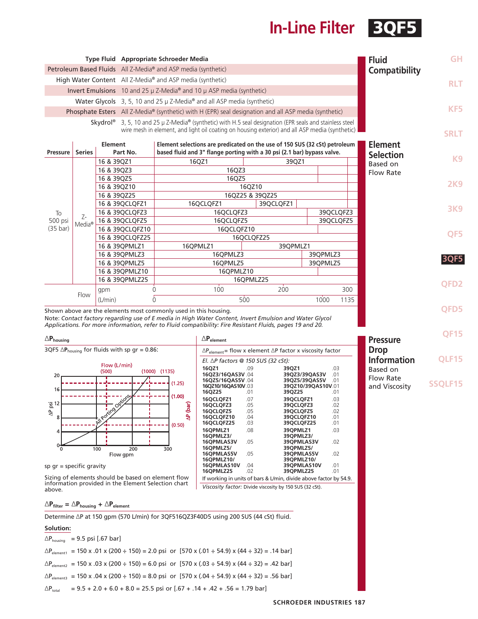# **In-Line Filter** 3QF5

**QF15**

**Pressure Drop**

**Information** Based on Flow Rate and Viscosity

**QLF15**

**SSQLF15**

|                                                           |                    |                |                 | Type Fluid Appropriate Schroeder Media                                                                                                                                                                                             |                 |  |               |          | <b>Fluid</b>                       | <b>GH</b>      |          |  |  |      |
|-----------------------------------------------------------|--------------------|----------------|-----------------|------------------------------------------------------------------------------------------------------------------------------------------------------------------------------------------------------------------------------------|-----------------|--|---------------|----------|------------------------------------|----------------|----------|--|--|------|
|                                                           |                    |                |                 | Petroleum Based Fluids All Z-Media® and ASP media (synthetic)                                                                                                                                                                      |                 |  |               |          | Compatibility                      |                |          |  |  |      |
| High Water Content All Z-Media® and ASP media (synthetic) |                    |                |                 |                                                                                                                                                                                                                                    |                 |  |               |          |                                    | <b>RLT</b>     |          |  |  |      |
|                                                           |                    |                |                 | Invert Emulsions 10 and 25 $\mu$ Z-Media <sup>®</sup> and 10 $\mu$ ASP media (synthetic)                                                                                                                                           |                 |  |               |          |                                    |                |          |  |  |      |
|                                                           |                    |                |                 | Water Glycols 3, 5, 10 and 25 µ Z-Media <sup>®</sup> and all ASP media (synthetic)                                                                                                                                                 |                 |  |               |          |                                    |                |          |  |  |      |
|                                                           |                    |                |                 | Phosphate Esters All Z-Media® (synthetic) with H (EPR) seal designation and all ASP media (synthetic)                                                                                                                              |                 |  |               |          |                                    | KF5            |          |  |  |      |
|                                                           |                    |                |                 | Skydrol <sup>®</sup> 3, 5, 10 and 25 µ Z-Media <sup>®</sup> (synthetic) with H.5 seal designation (EPR seals and stainless steel<br>wire mesh in element, and light oil coating on housing exterior) and all ASP media (synthetic) |                 |  |               |          |                                    | <b>SRLT</b>    |          |  |  |      |
| <b>Pressure</b>                                           | <b>Series</b>      | <b>Element</b> | Part No.        | Element selections are predicated on the use of 150 SUS (32 cSt) petroleum<br>based fluid and 3" flange porting with a 30 psi (2.1 bar) bypass valve.                                                                              |                 |  |               |          | <b>Element</b><br><b>Selection</b> |                |          |  |  |      |
|                                                           |                    | 16 & 39QZ1     |                 | 16QZ1                                                                                                                                                                                                                              | 39QZ1           |  |               |          | Based on                           | K <sub>9</sub> |          |  |  |      |
|                                                           |                    | 16 & 39QZ3     |                 |                                                                                                                                                                                                                                    | 16QZ3           |  |               |          | <b>Flow Rate</b>                   |                |          |  |  |      |
|                                                           |                    | 16 & 39QZ5     |                 | 16QZ5                                                                                                                                                                                                                              |                 |  |               |          |                                    |                |          |  |  |      |
|                                                           |                    | 16 & 39QZ10    |                 | 16QZ10                                                                                                                                                                                                                             |                 |  |               |          |                                    | <b>2K9</b>     |          |  |  |      |
|                                                           |                    | 16 & 39QZ25    |                 |                                                                                                                                                                                                                                    | 16QZ25 & 39QZ25 |  |               |          |                                    |                |          |  |  |      |
|                                                           |                    |                | 16 & 39QCLQFZ1  | 16QCLQFZ1                                                                                                                                                                                                                          | 39QCLQFZ1       |  |               |          |                                    | <b>3K9</b>     |          |  |  |      |
| To                                                        | $7 -$              |                | 16 & 39QCLQFZ3  | 16QCLQFZ3                                                                                                                                                                                                                          |                 |  | 39QCLQFZ3     |          |                                    |                |          |  |  |      |
| 500 psi                                                   | Media <sup>®</sup> |                | 16 & 39QCLQFZ5  | 16QCLQFZ5                                                                                                                                                                                                                          |                 |  | 39QCLQFZ5     |          |                                    |                |          |  |  |      |
| $(35 \text{ bar})$                                        |                    |                | 16 & 39QCLQFZ10 |                                                                                                                                                                                                                                    | 16QCLQFZ10      |  |               |          |                                    | QF5            |          |  |  |      |
|                                                           |                    |                | 16 & 39QCLQFZ25 |                                                                                                                                                                                                                                    | 16QCLQFZ25      |  |               |          |                                    |                |          |  |  |      |
|                                                           |                    |                | 16 & 39QPMLZ1   | 16QPMLZ1                                                                                                                                                                                                                           | 39QPMLZ1        |  |               |          |                                    |                |          |  |  |      |
|                                                           |                    |                |                 |                                                                                                                                                                                                                                    |                 |  | 16 & 39QPMLZ3 | 16QPMLZ3 |                                    |                | 39QPMLZ3 |  |  | 3QF5 |
|                                                           |                    |                |                 |                                                                                                                                                                                                                                    |                 |  | 16 & 39QPMLZ5 | 16OPMLZ5 |                                    |                | 39OPMLZ5 |  |  |      |
|                                                           |                    |                | 16 & 39QPMLZ10  | 16QPMLZ10                                                                                                                                                                                                                          |                 |  |               |          |                                    |                |          |  |  |      |
|                                                           |                    |                | 16 & 39QPMLZ25  |                                                                                                                                                                                                                                    | 16QPMLZ25       |  |               |          |                                    | <b>OFD2</b>    |          |  |  |      |
|                                                           |                    | gpm            |                 | 100<br>$\Omega$                                                                                                                                                                                                                    | 200             |  |               | 300      |                                    |                |          |  |  |      |
|                                                           | Flow               | (L/min)        |                 | U                                                                                                                                                                                                                                  | 500             |  | 1000          | 1135     |                                    |                |          |  |  |      |
|                                                           |                    |                |                 | Shown above are the elements most commonly used in this housing.                                                                                                                                                                   |                 |  |               |          |                                    | QFD5           |          |  |  |      |

**16QPMLZ25** .02 **39QPMLZ25** .01 If working in units of bars & L/min, divide above factor by 54.9.

*Viscosity factor:* Divide viscosity by 150 SUS (32 cSt).

Shown above are the elements most commonly used in this housing. Note: *Contact factory regarding use of E media in High Water Content, Invert Emulsion and Water Glycol Applications. For more information, refer to Fluid compatibility: Fire Resistant Fluids, pages 19 and 20.*

| $\triangle$ Phousing       |                                                                  |                   |              | $\triangle P_{element}$                    |     |                                                                                   |     |
|----------------------------|------------------------------------------------------------------|-------------------|--------------|--------------------------------------------|-----|-----------------------------------------------------------------------------------|-----|
|                            | 3QF5 $\Delta$ P <sub>housing</sub> for fluids with sp gr = 0.86: |                   |              |                                            |     | $\Delta P_{\text{element}}$ = flow x element $\Delta P$ factor x viscosity factor |     |
|                            | Flow (L/min)                                                     |                   |              | El. $\Delta P$ factors @ 150 SUS (32 cSt): |     |                                                                                   |     |
|                            | (500)                                                            | $(1000)$ $(1135)$ |              | 16OZ1                                      | .09 | 39OZ1                                                                             | .03 |
| 20                         |                                                                  |                   |              | 16QZ3/16QAS3V.04                           |     | 39OZ3/39OAS3V                                                                     | .01 |
|                            |                                                                  | (1.25)            |              | 16QZ5/16QAS5V.04                           |     | 39QZ5/39QAS5V                                                                     | .01 |
| 16                         |                                                                  |                   |              | 16QZ10/16QAS10V.03                         |     | 39QZ10/39QAS10V.01                                                                |     |
|                            |                                                                  |                   |              | 16QZ25                                     | .01 | 39QZ25                                                                            | .01 |
|                            | I porting Options                                                | (1.00)            |              | <b>16OCLOFZ1</b>                           | .07 | 39QCLQFZ1                                                                         | .03 |
| $\frac{1}{2}$ 12           |                                                                  |                   | (bar)        | <b>16OCLOFZ3</b>                           | .05 | 39OCLOFZ3                                                                         | .02 |
| $\overline{a}$             |                                                                  |                   |              | 16QCLQFZ5                                  | .05 | 39OCLOFZ5                                                                         | .02 |
| 8                          |                                                                  |                   | $\mathbf{r}$ | <b>16QCLQFZ10</b>                          | .04 | 39QCLQFZ10                                                                        | .01 |
|                            |                                                                  | (0.50)            |              | <b>16QCLQFZ25</b>                          | .03 | 39QCLQFZ25                                                                        | .01 |
| 4                          |                                                                  |                   |              | 16OPMLZ1                                   | .08 | 39OPMLZ1                                                                          | .03 |
|                            |                                                                  |                   |              | 16OPMLZ3/                                  |     | 390PMLZ3/                                                                         |     |
|                            |                                                                  |                   |              | <b>16OPMLAS3V</b>                          | .05 | 39OPMLAS3V                                                                        | .02 |
| $\Omega$                   | 100                                                              | 200<br>300        |              | 16OPMLZ5/                                  |     | 390PMLZ5/                                                                         |     |
|                            | Flow gpm                                                         |                   |              | 16OPMLAS5V                                 | .05 | 39OPMLAS5V                                                                        | .02 |
|                            |                                                                  |                   |              | 16OPMLZ10/                                 |     | 390PMLZ10/                                                                        |     |
| sp $ar =$ specific aravity |                                                                  |                   |              | 16OPMLAS10V                                | .04 | 39OPMLAS10V                                                                       | .01 |

sp gr = specific gravity

Sizing of elements should be based on element flow information provided in the Element Selection chart above.

∆**Pfilter =** ∆**Phousing +** ∆**Pelement**

Determine ∆P at 150 gpm (570 L/min) for 3QF516QZ3F40D5 using 200 SUS (44 cSt) fluid.

#### **Solution:**

|                                      | $\Delta P_{\text{housing}} = 9.5 \text{ psi}$ [.67 bar]                                                        |
|--------------------------------------|----------------------------------------------------------------------------------------------------------------|
|                                      | $\Delta P_{\text{element}}$ = 150 x .01 x (200 ÷ 150) = 2.0 psi or [570 x (.01 ÷ 54.9) x (44 ÷ 32) = .14 bar]  |
|                                      | $\Delta P_{\text{element2}}$ = 150 x .03 x (200 ÷ 150) = 6.0 psi or [570 x (.03 ÷ 54.9) x (44 ÷ 32) = .42 bar] |
|                                      | $\Delta P_{\text{element3}}$ = 150 x .04 x (200 ÷ 150) = 8.0 psi or [570 x (.04 ÷ 54.9) x (44 ÷ 32) = .56 bar] |
| $\Delta \mathsf{P}_{\mathsf{total}}$ | $= 9.5 + 2.0 + 6.0 + 8.0 = 25.5$ psi or $[.67 + .14 + .42 + .56 = 1.79$ bar]                                   |